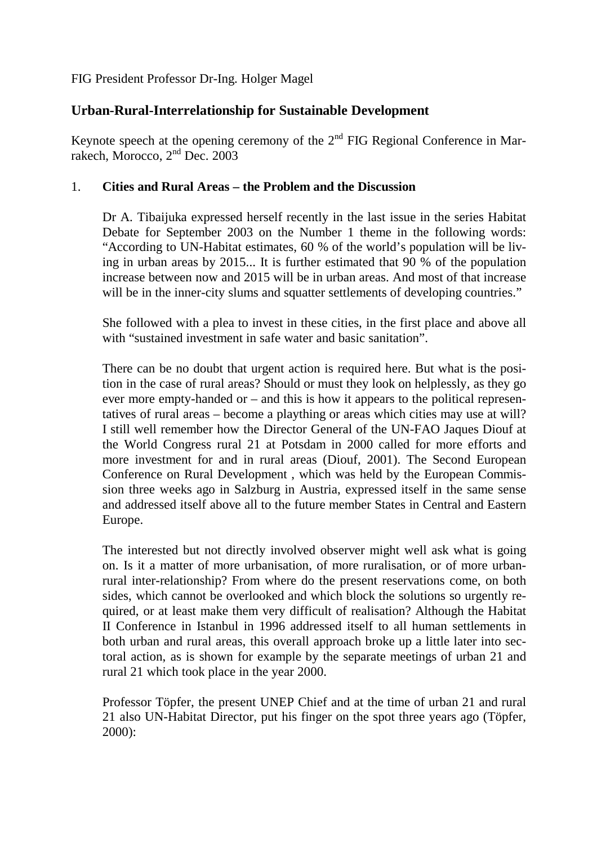FIG President Professor Dr-Ing. Holger Magel

## **Urban-Rural-Interrelationship for Sustainable Development**

Keynote speech at the opening ceremony of the  $2<sup>nd</sup>$  FIG Regional Conference in Marrakech, Morocco, 2nd Dec. 2003

## 1. **Cities and Rural Areas – the Problem and the Discussion**

Dr A. Tibaijuka expressed herself recently in the last issue in the series Habitat Debate for September 2003 on the Number 1 theme in the following words: "According to UN-Habitat estimates, 60 % of the world's population will be living in urban areas by 2015... It is further estimated that 90 % of the population increase between now and 2015 will be in urban areas. And most of that increase will be in the inner-city slums and squatter settlements of developing countries."

She followed with a plea to invest in these cities, in the first place and above all with "sustained investment in safe water and basic sanitation".

There can be no doubt that urgent action is required here. But what is the position in the case of rural areas? Should or must they look on helplessly, as they go ever more empty-handed or – and this is how it appears to the political representatives of rural areas – become a plaything or areas which cities may use at will? I still well remember how the Director General of the UN-FAO Jaques Diouf at the World Congress rural 21 at Potsdam in 2000 called for more efforts and more investment for and in rural areas (Diouf, 2001). The Second European Conference on Rural Development , which was held by the European Commission three weeks ago in Salzburg in Austria, expressed itself in the same sense and addressed itself above all to the future member States in Central and Eastern Europe.

The interested but not directly involved observer might well ask what is going on. Is it a matter of more urbanisation, of more ruralisation, or of more urbanrural inter-relationship? From where do the present reservations come, on both sides, which cannot be overlooked and which block the solutions so urgently required, or at least make them very difficult of realisation? Although the Habitat II Conference in Istanbul in 1996 addressed itself to all human settlements in both urban and rural areas, this overall approach broke up a little later into sectoral action, as is shown for example by the separate meetings of urban 21 and rural 21 which took place in the year 2000.

Professor Töpfer, the present UNEP Chief and at the time of urban 21 and rural 21 also UN-Habitat Director, put his finger on the spot three years ago (Töpfer, 2000):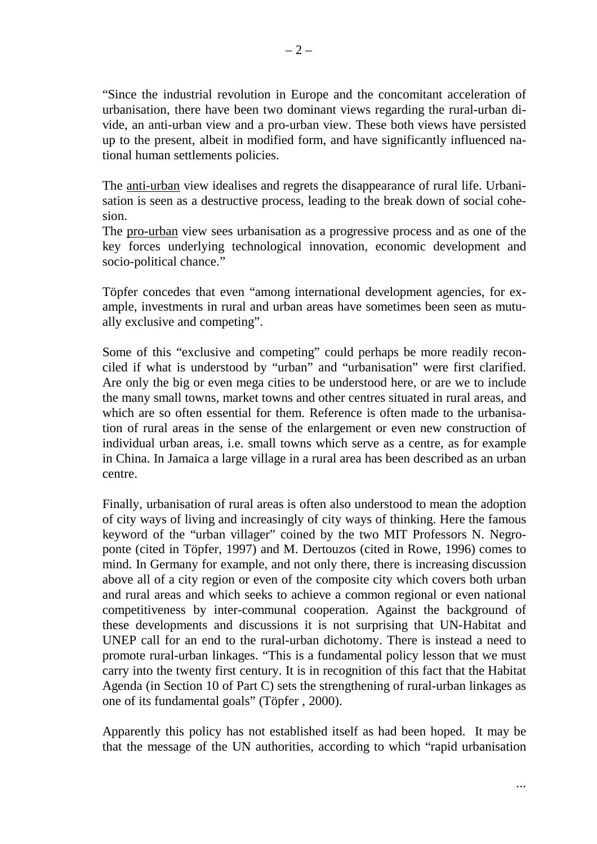"Since the industrial revolution in Europe and the concomitant acceleration of urbanisation, there have been two dominant views regarding the rural-urban divide, an anti-urban view and a pro-urban view. These both views have persisted up to the present, albeit in modified form, and have significantly influenced national human settlements policies.

The anti-urban view idealises and regrets the disappearance of rural life. Urbanisation is seen as a destructive process, leading to the break down of social cohesion.

The pro-urban view sees urbanisation as a progressive process and as one of the key forces underlying technological innovation, economic development and socio-political chance."

Töpfer concedes that even "among international development agencies, for example, investments in rural and urban areas have sometimes been seen as mutually exclusive and competing".

Some of this "exclusive and competing" could perhaps be more readily reconciled if what is understood by "urban" and "urbanisation" were first clarified. Are only the big or even mega cities to be understood here, or are we to include the many small towns, market towns and other centres situated in rural areas, and which are so often essential for them. Reference is often made to the urbanisation of rural areas in the sense of the enlargement or even new construction of individual urban areas, i.e. small towns which serve as a centre, as for example in China. In Jamaica a large village in a rural area has been described as an urban centre.

Finally, urbanisation of rural areas is often also understood to mean the adoption of city ways of living and increasingly of city ways of thinking. Here the famous keyword of the "urban villager" coined by the two MIT Professors N. Negroponte (cited in Töpfer, 1997) and M. Dertouzos (cited in Rowe, 1996) comes to mind. In Germany for example, and not only there, there is increasing discussion above all of a city region or even of the composite city which covers both urban and rural areas and which seeks to achieve a common regional or even national competitiveness by inter-communal cooperation. Against the background of these developments and discussions it is not surprising that UN-Habitat and UNEP call for an end to the rural-urban dichotomy. There is instead a need to promote rural-urban linkages. "This is a fundamental policy lesson that we must carry into the twenty first century. It is in recognition of this fact that the Habitat Agenda (in Section 10 of Part C) sets the strengthening of rural-urban linkages as one of its fundamental goals" (Töpfer , 2000).

Apparently this policy has not established itself as had been hoped. It may be that the message of the UN authorities, according to which "rapid urbanisation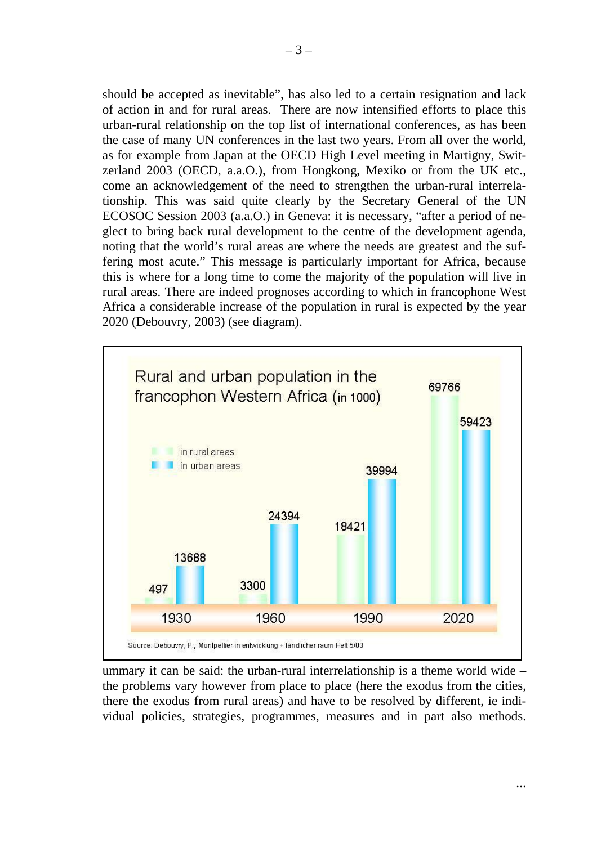should be accepted as inevitable", has also led to a certain resignation and lack of action in and for rural areas. There are now intensified efforts to place this urban-rural relationship on the top list of international conferences, as has been the case of many UN conferences in the last two years. From all over the world, as for example from Japan at the OECD High Level meeting in Martigny, Switzerland 2003 (OECD, a.a.O.), from Hongkong, Mexiko or from the UK etc., come an acknowledgement of the need to strengthen the urban-rural interrelationship. This was said quite clearly by the Secretary General of the UN ECOSOC Session 2003 (a.a.O.) in Geneva: it is necessary, "after a period of neglect to bring back rural development to the centre of the development agenda, noting that the world's rural areas are where the needs are greatest and the suffering most acute." This message is particularly important for Africa, because this is where for a long time to come the majority of the population will live in rural areas. There are indeed prognoses according to which in francophone West Africa a considerable increase of the population in rural is expected by the year 2020 (Debouvry, 2003) (see diagram).



ummary it can be said: the urban-rural interrelationship is a theme world wide – the problems vary however from place to place (here the exodus from the cities, there the exodus from rural areas) and have to be resolved by different, ie individual policies, strategies, programmes, measures and in part also methods.

...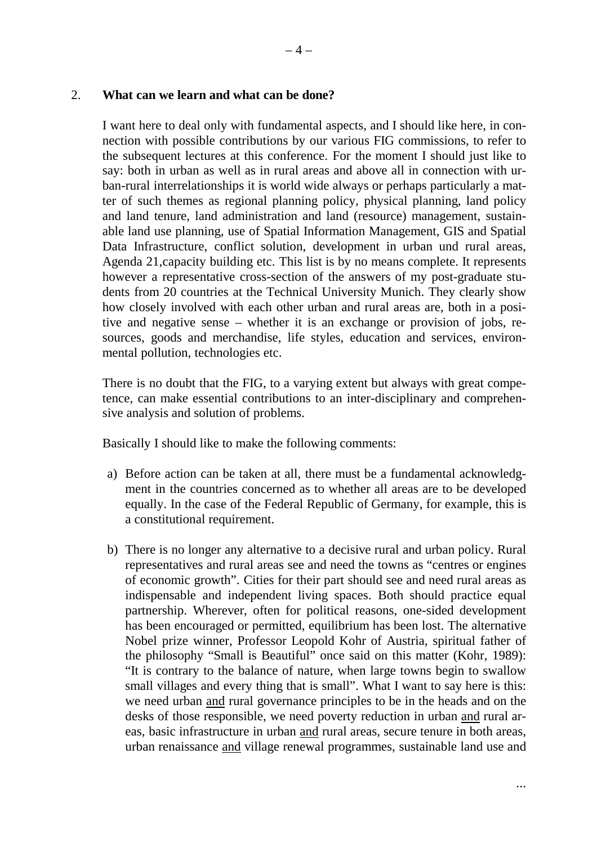2. **What can we learn and what can be done?**

I want here to deal only with fundamental aspects, and I should like here, in connection with possible contributions by our various FIG commissions, to refer to the subsequent lectures at this conference. For the moment I should just like to say: both in urban as well as in rural areas and above all in connection with urban-rural interrelationships it is world wide always or perhaps particularly a matter of such themes as regional planning policy, physical planning, land policy and land tenure, land administration and land (resource) management, sustainable land use planning, use of Spatial Information Management, GIS and Spatial Data Infrastructure, conflict solution, development in urban und rural areas, Agenda 21,capacity building etc. This list is by no means complete. It represents however a representative cross-section of the answers of my post-graduate students from 20 countries at the Technical University Munich. They clearly show how closely involved with each other urban and rural areas are, both in a positive and negative sense – whether it is an exchange or provision of jobs, resources, goods and merchandise, life styles, education and services, environmental pollution, technologies etc.

There is no doubt that the FIG, to a varying extent but always with great competence, can make essential contributions to an inter-disciplinary and comprehensive analysis and solution of problems.

Basically I should like to make the following comments:

- a) Before action can be taken at all, there must be a fundamental acknowledgment in the countries concerned as to whether all areas are to be developed equally. In the case of the Federal Republic of Germany, for example, this is a constitutional requirement.
- b) There is no longer any alternative to a decisive rural and urban policy. Rural representatives and rural areas see and need the towns as "centres or engines of economic growth". Cities for their part should see and need rural areas as indispensable and independent living spaces. Both should practice equal partnership. Wherever, often for political reasons, one-sided development has been encouraged or permitted, equilibrium has been lost. The alternative Nobel prize winner, Professor Leopold Kohr of Austria, spiritual father of the philosophy "Small is Beautiful" once said on this matter (Kohr, 1989): "It is contrary to the balance of nature, when large towns begin to swallow small villages and every thing that is small". What I want to say here is this: we need urban and rural governance principles to be in the heads and on the desks of those responsible, we need poverty reduction in urban and rural areas, basic infrastructure in urban and rural areas, secure tenure in both areas, urban renaissance and village renewal programmes, sustainable land use and

...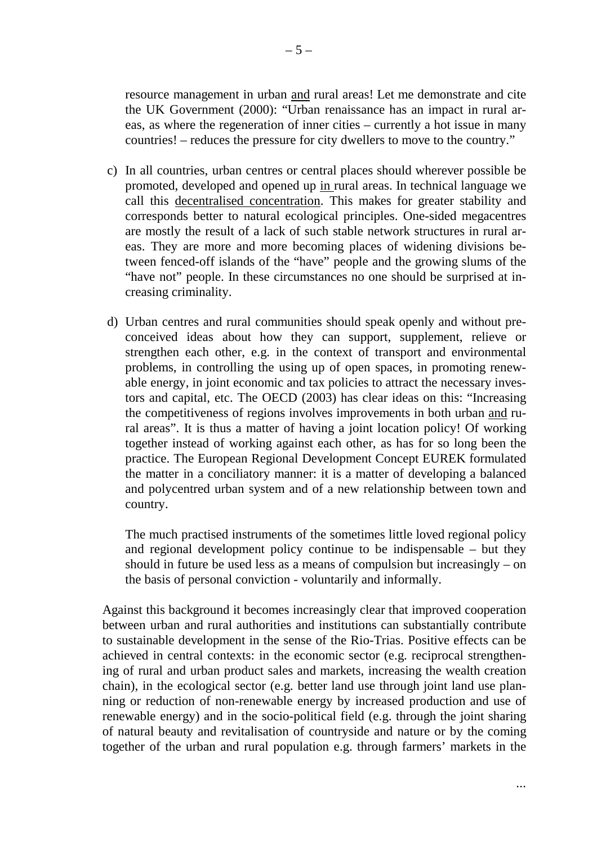resource management in urban and rural areas! Let me demonstrate and cite the UK Government (2000): "Urban renaissance has an impact in rural areas, as where the regeneration of inner cities – currently a hot issue in many countries! – reduces the pressure for city dwellers to move to the country."

- c) In all countries, urban centres or central places should wherever possible be promoted, developed and opened up in rural areas. In technical language we call this decentralised concentration. This makes for greater stability and corresponds better to natural ecological principles. One-sided megacentres are mostly the result of a lack of such stable network structures in rural areas. They are more and more becoming places of widening divisions between fenced-off islands of the "have" people and the growing slums of the "have not" people. In these circumstances no one should be surprised at increasing criminality.
- d) Urban centres and rural communities should speak openly and without preconceived ideas about how they can support, supplement, relieve or strengthen each other, e.g. in the context of transport and environmental problems, in controlling the using up of open spaces, in promoting renewable energy, in joint economic and tax policies to attract the necessary investors and capital, etc. The OECD (2003) has clear ideas on this: "Increasing the competitiveness of regions involves improvements in both urban and rural areas". It is thus a matter of having a joint location policy! Of working together instead of working against each other, as has for so long been the practice. The European Regional Development Concept EUREK formulated the matter in a conciliatory manner: it is a matter of developing a balanced and polycentred urban system and of a new relationship between town and country.

The much practised instruments of the sometimes little loved regional policy and regional development policy continue to be indispensable – but they should in future be used less as a means of compulsion but increasingly – on the basis of personal conviction - voluntarily and informally.

Against this background it becomes increasingly clear that improved cooperation between urban and rural authorities and institutions can substantially contribute to sustainable development in the sense of the Rio-Trias. Positive effects can be achieved in central contexts: in the economic sector (e.g. reciprocal strengthening of rural and urban product sales and markets, increasing the wealth creation chain), in the ecological sector (e.g. better land use through joint land use planning or reduction of non-renewable energy by increased production and use of renewable energy) and in the socio-political field (e.g. through the joint sharing of natural beauty and revitalisation of countryside and nature or by the coming together of the urban and rural population e.g. through farmers' markets in the

...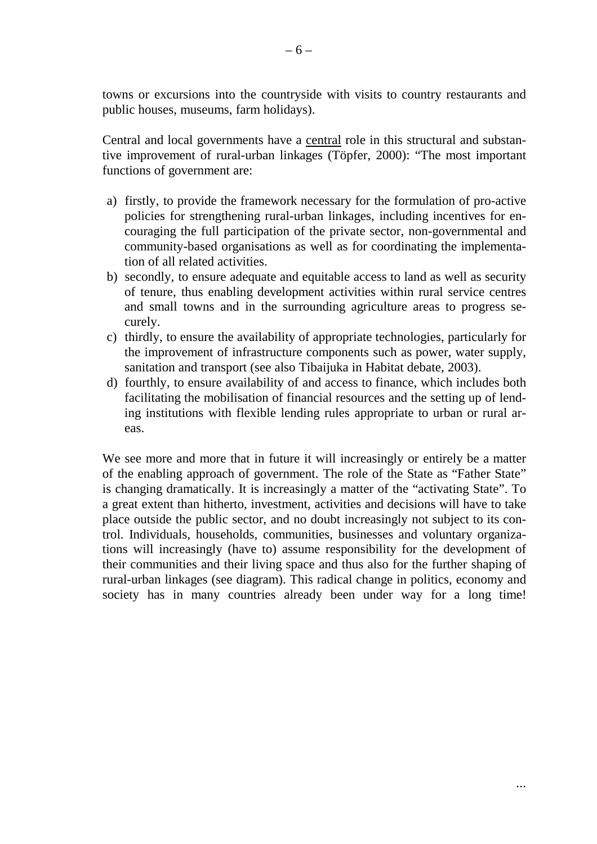towns or excursions into the countryside with visits to country restaurants and public houses, museums, farm holidays).

Central and local governments have a central role in this structural and substantive improvement of rural-urban linkages (Töpfer, 2000): "The most important functions of government are:

- a) firstly, to provide the framework necessary for the formulation of pro-active policies for strengthening rural-urban linkages, including incentives for encouraging the full participation of the private sector, non-governmental and community-based organisations as well as for coordinating the implementation of all related activities.
- b) secondly, to ensure adequate and equitable access to land as well as security of tenure, thus enabling development activities within rural service centres and small towns and in the surrounding agriculture areas to progress securely.
- c) thirdly, to ensure the availability of appropriate technologies, particularly for the improvement of infrastructure components such as power, water supply, sanitation and transport (see also Tibaijuka in Habitat debate, 2003).
- d) fourthly, to ensure availability of and access to finance, which includes both facilitating the mobilisation of financial resources and the setting up of lending institutions with flexible lending rules appropriate to urban or rural areas.

We see more and more that in future it will increasingly or entirely be a matter of the enabling approach of government. The role of the State as "Father State" is changing dramatically. It is increasingly a matter of the "activating State". To a great extent than hitherto, investment, activities and decisions will have to take place outside the public sector, and no doubt increasingly not subject to its control. Individuals, households, communities, businesses and voluntary organizations will increasingly (have to) assume responsibility for the development of their communities and their living space and thus also for the further shaping of rural-urban linkages (see diagram). This radical change in politics, economy and society has in many countries already been under way for a long time!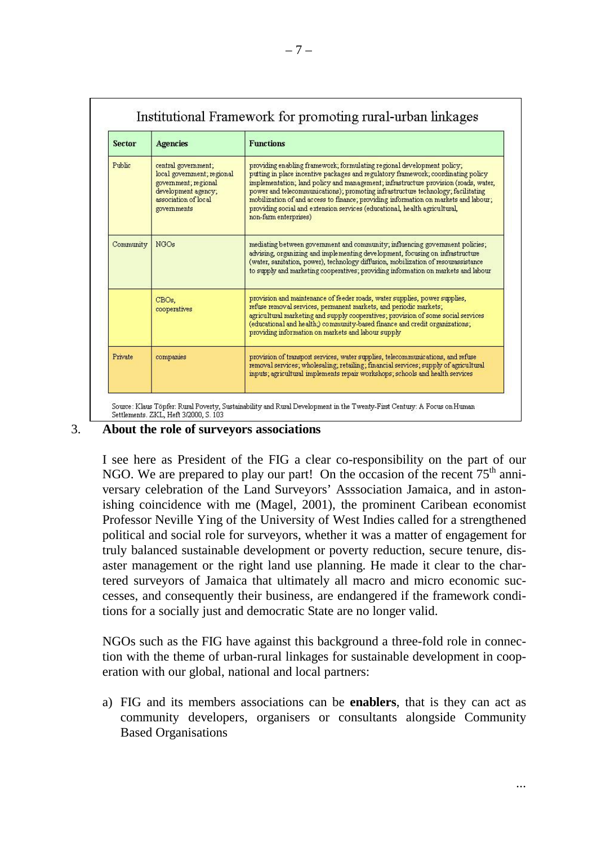| <b>Sector</b> | <b>Agencies</b>                                                                                                                         | <b>Functions</b>                                                                                                                                                                                                                                                                                                                                                                                                                                                                                                                     |
|---------------|-----------------------------------------------------------------------------------------------------------------------------------------|--------------------------------------------------------------------------------------------------------------------------------------------------------------------------------------------------------------------------------------------------------------------------------------------------------------------------------------------------------------------------------------------------------------------------------------------------------------------------------------------------------------------------------------|
| Public        | central government;<br>local government; regional<br>government; regional<br>development agency;<br>association of local<br>governments | providing enabling framework; formulating regional development policy;<br>putting in place incentive packages and regulatory framework; coordinating policy<br>implementation; land policy and management; infrastructure provision (roads, water,<br>power and telecommunications); promoting infrastructure technology; facilitating<br>mobilization of and access to finance; providing information on markets and labour;<br>providing social and extension services (educational, health agricultural,<br>non-farm enterprises) |
| Community     | <b>NGOs</b>                                                                                                                             | mediating between government and community; influencing government policies;<br>advising, organizing and implementing development, focusing on infrastructure<br>(water, sanitation, power), technology diffusion, mobilization of resourassistance<br>to supply and marketing cooperatives; providing information on markets and labour                                                                                                                                                                                             |
|               | CBOs.<br>cooperatives                                                                                                                   | provision and maintenance of feeder roads, water supplies, power supplies,<br>refuse removal services, permanent markets, and periodic markets;<br>agricultural marketing and supply cooperatives; provision of some social services<br>(educational and health.) community-based finance and credit organizations;<br>providing information on markets and labour supply                                                                                                                                                            |
| Private       | companies                                                                                                                               | provision of transport services, water supplies, telecommunications, and refuse<br>removal services; wholesaling; retailing; financial services; supply of agricultural<br>inputs; agricultural implements repair workshops; schools and health services                                                                                                                                                                                                                                                                             |

## 3. **About the role of surveyors associations**

I see here as President of the FIG a clear co-responsibility on the part of our NGO. We are prepared to play our part! On the occasion of the recent  $75<sup>th</sup>$  anniversary celebration of the Land Surveyors' Asssociation Jamaica, and in astonishing coincidence with me (Magel, 2001), the prominent Caribean economist Professor Neville Ying of the University of West Indies called for a strengthened political and social role for surveyors, whether it was a matter of engagement for truly balanced sustainable development or poverty reduction, secure tenure, disaster management or the right land use planning. He made it clear to the chartered surveyors of Jamaica that ultimately all macro and micro economic successes, and consequently their business, are endangered if the framework conditions for a socially just and democratic State are no longer valid.

NGOs such as the FIG have against this background a three-fold role in connection with the theme of urban-rural linkages for sustainable development in cooperation with our global, national and local partners:

a) FIG and its members associations can be **enablers**, that is they can act as community developers, organisers or consultants alongside Community Based Organisations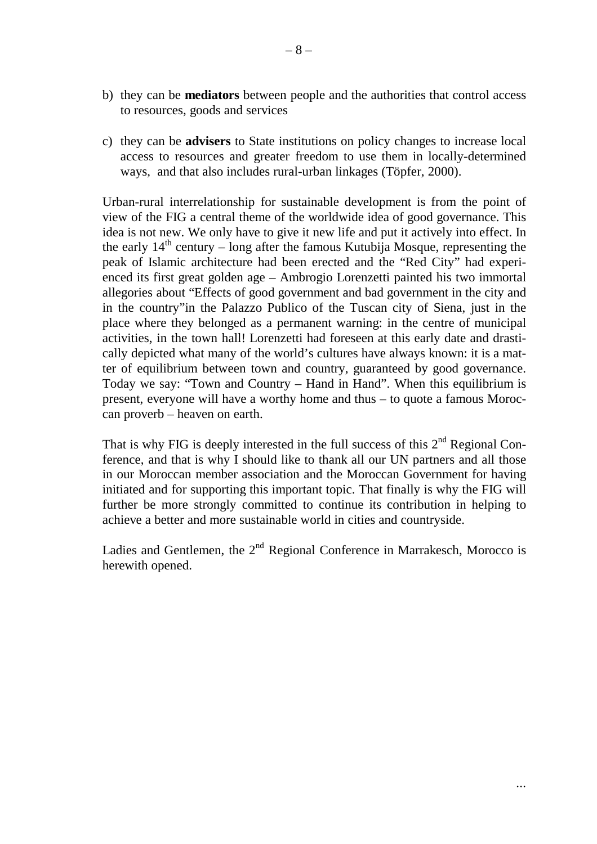- b) they can be **mediators** between people and the authorities that control access to resources, goods and services
- c) they can be **advisers** to State institutions on policy changes to increase local access to resources and greater freedom to use them in locally-determined ways, and that also includes rural-urban linkages (Töpfer, 2000).

Urban-rural interrelationship for sustainable development is from the point of view of the FIG a central theme of the worldwide idea of good governance. This idea is not new. We only have to give it new life and put it actively into effect. In the early  $14<sup>th</sup>$  century – long after the famous Kutubija Mosque, representing the peak of Islamic architecture had been erected and the "Red City" had experienced its first great golden age – Ambrogio Lorenzetti painted his two immortal allegories about "Effects of good government and bad government in the city and in the country"in the Palazzo Publico of the Tuscan city of Siena, just in the place where they belonged as a permanent warning: in the centre of municipal activities, in the town hall! Lorenzetti had foreseen at this early date and drastically depicted what many of the world's cultures have always known: it is a matter of equilibrium between town and country, guaranteed by good governance. Today we say: "Town and Country – Hand in Hand". When this equilibrium is present, everyone will have a worthy home and thus – to quote a famous Moroccan proverb – heaven on earth.

That is why FIG is deeply interested in the full success of this  $2<sup>nd</sup>$  Regional Conference, and that is why I should like to thank all our UN partners and all those in our Moroccan member association and the Moroccan Government for having initiated and for supporting this important topic. That finally is why the FIG will further be more strongly committed to continue its contribution in helping to achieve a better and more sustainable world in cities and countryside.

Ladies and Gentlemen, the  $2<sup>nd</sup>$  Regional Conference in Marrakesch, Morocco is herewith opened.